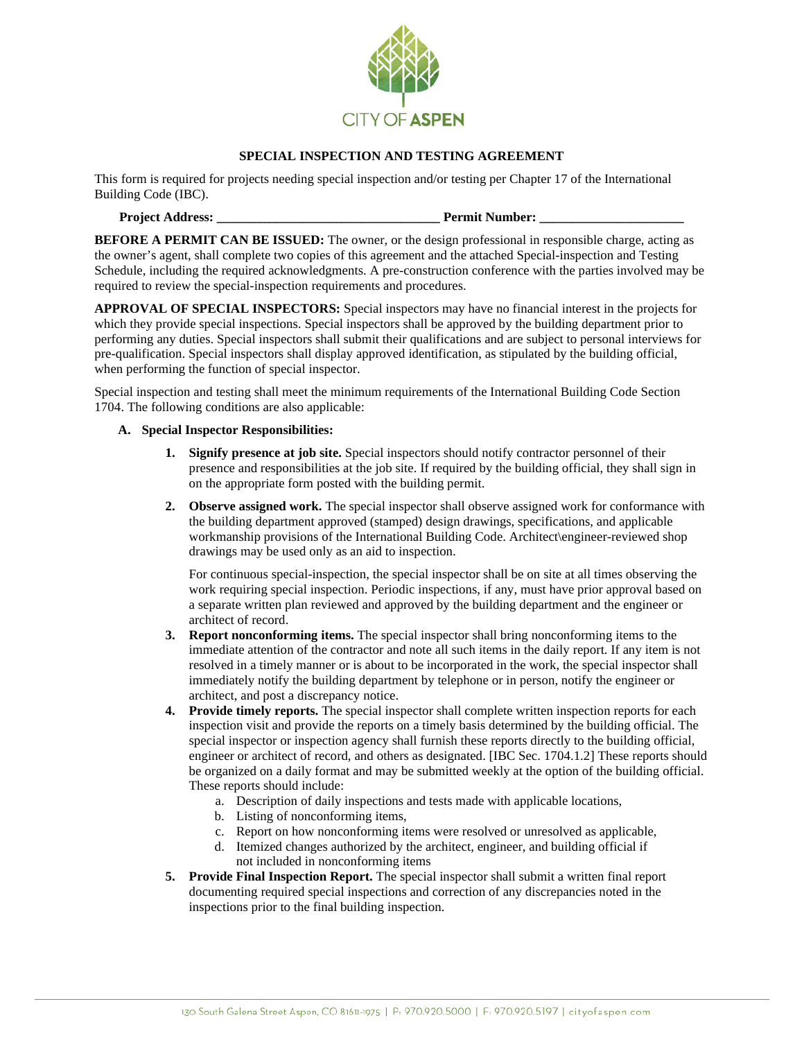

## **SPECIAL INSPECTION AND TESTING AGREEMENT**

This form is required for projects needing special inspection and/or testing per Chapter 17 of the International Building Code (IBC).

# **Project Address: \_\_\_\_\_\_\_\_\_\_\_\_\_\_\_\_\_\_\_\_\_\_\_\_\_\_\_\_\_\_\_\_\_\_ Permit Number: \_\_\_\_\_\_\_\_\_\_\_\_\_\_\_\_\_\_\_\_\_\_**

**BEFORE A PERMIT CAN BE ISSUED:** The owner, or the design professional in responsible charge, acting as the owner's agent, shall complete two copies of this agreement and the attached Special-inspection and Testing Schedule, including the required acknowledgments. A pre-construction conference with the parties involved may be required to review the special-inspection requirements and procedures.

**APPROVAL OF SPECIAL INSPECTORS:** Special inspectors may have no financial interest in the projects for which they provide special inspections. Special inspectors shall be approved by the building department prior to performing any duties. Special inspectors shall submit their qualifications and are subject to personal interviews for pre-qualification. Special inspectors shall display approved identification, as stipulated by the building official, when performing the function of special inspector.

Special inspection and testing shall meet the minimum requirements of the International Building Code Section 1704. The following conditions are also applicable:

#### **A. Special Inspector Responsibilities:**

- **1. Signify presence at job site.** Special inspectors should notify contractor personnel of their presence and responsibilities at the job site. If required by the building official, they shall sign in on the appropriate form posted with the building permit.
- **2. Observe assigned work.** The special inspector shall observe assigned work for conformance with the building department approved (stamped) design drawings, specifications, and applicable workmanship provisions of the International Building Code. Architect\engineer-reviewed shop drawings may be used only as an aid to inspection.

For continuous special-inspection, the special inspector shall be on site at all times observing the work requiring special inspection. Periodic inspections, if any, must have prior approval based on a separate written plan reviewed and approved by the building department and the engineer or architect of record.

- **3. Report nonconforming items.** The special inspector shall bring nonconforming items to the immediate attention of the contractor and note all such items in the daily report. If any item is not resolved in a timely manner or is about to be incorporated in the work, the special inspector shall immediately notify the building department by telephone or in person, notify the engineer or architect, and post a discrepancy notice.
- **4. Provide timely reports.** The special inspector shall complete written inspection reports for each inspection visit and provide the reports on a timely basis determined by the building official. The special inspector or inspection agency shall furnish these reports directly to the building official, engineer or architect of record, and others as designated. [IBC Sec. 1704.1.2] These reports should be organized on a daily format and may be submitted weekly at the option of the building official. These reports should include:
	- a. Description of daily inspections and tests made with applicable locations,
	- b. Listing of nonconforming items,
	- c. Report on how nonconforming items were resolved or unresolved as applicable,
	- d. Itemized changes authorized by the architect, engineer, and building official if not included in nonconforming items
- **5. Provide Final Inspection Report.** The special inspector shall submit a written final report documenting required special inspections and correction of any discrepancies noted in the inspections prior to the final building inspection.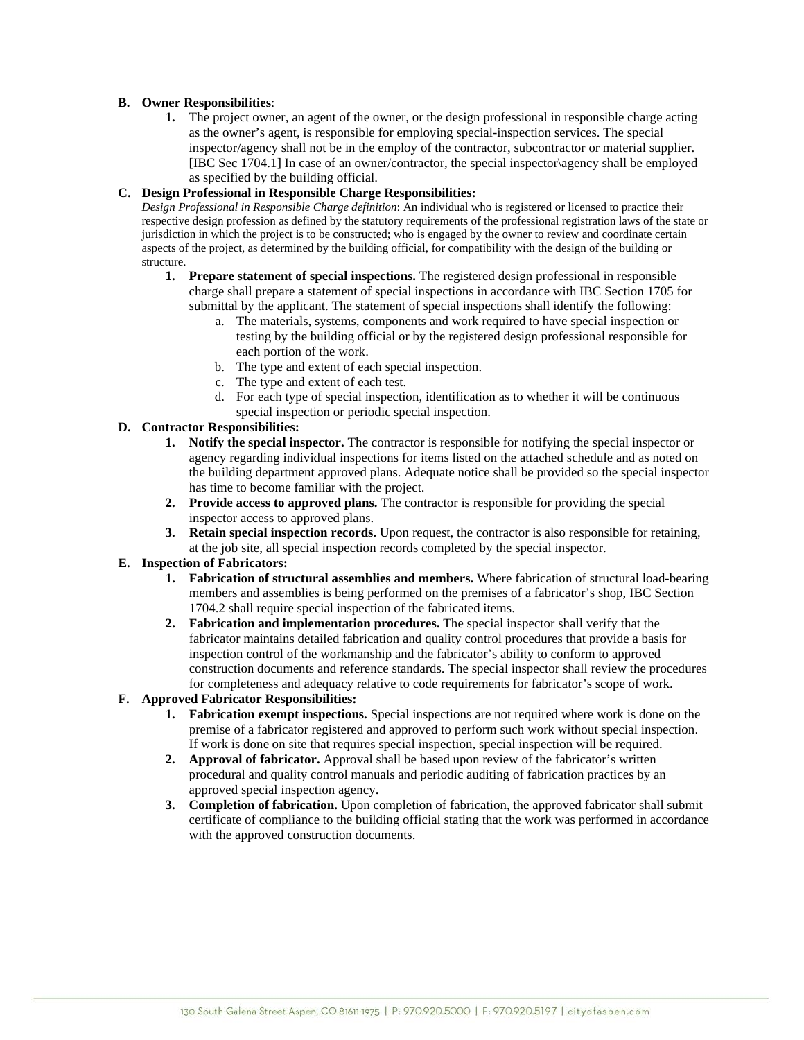### **B. Owner Responsibilities**:

**1.** The project owner, an agent of the owner, or the design professional in responsible charge acting as the owner's agent, is responsible for employing special-inspection services. The special inspector/agency shall not be in the employ of the contractor, subcontractor or material supplier. [IBC Sec 1704.1] In case of an owner/contractor, the special inspector\agency shall be employed as specified by the building official.

#### **C. Design Professional in Responsible Charge Responsibilities:**

*Design Professional in Responsible Charge definition*: An individual who is registered or licensed to practice their respective design profession as defined by the statutory requirements of the professional registration laws of the state or jurisdiction in which the project is to be constructed; who is engaged by the owner to review and coordinate certain aspects of the project, as determined by the building official, for compatibility with the design of the building or structure.

- **1. Prepare statement of special inspections.** The registered design professional in responsible charge shall prepare a statement of special inspections in accordance with IBC Section 1705 for submittal by the applicant. The statement of special inspections shall identify the following:
	- a. The materials, systems, components and work required to have special inspection or testing by the building official or by the registered design professional responsible for each portion of the work.
	- b. The type and extent of each special inspection.
	- c. The type and extent of each test.
	- d. For each type of special inspection, identification as to whether it will be continuous special inspection or periodic special inspection.

## **D. Contractor Responsibilities:**

- **1. Notify the special inspector.** The contractor is responsible for notifying the special inspector or agency regarding individual inspections for items listed on the attached schedule and as noted on the building department approved plans. Adequate notice shall be provided so the special inspector has time to become familiar with the project.
- **2. Provide access to approved plans.** The contractor is responsible for providing the special inspector access to approved plans.
- **3. Retain special inspection records.** Upon request, the contractor is also responsible for retaining, at the job site, all special inspection records completed by the special inspector.

## **E. Inspection of Fabricators:**

- **1. Fabrication of structural assemblies and members.** Where fabrication of structural load-bearing members and assemblies is being performed on the premises of a fabricator's shop, IBC Section 1704.2 shall require special inspection of the fabricated items.
- **2. Fabrication and implementation procedures.** The special inspector shall verify that the fabricator maintains detailed fabrication and quality control procedures that provide a basis for inspection control of the workmanship and the fabricator's ability to conform to approved construction documents and reference standards. The special inspector shall review the procedures for completeness and adequacy relative to code requirements for fabricator's scope of work.

## **F. Approved Fabricator Responsibilities:**

- **1. Fabrication exempt inspections.** Special inspections are not required where work is done on the premise of a fabricator registered and approved to perform such work without special inspection. If work is done on site that requires special inspection, special inspection will be required.
- **2. Approval of fabricator.** Approval shall be based upon review of the fabricator's written procedural and quality control manuals and periodic auditing of fabrication practices by an approved special inspection agency.
- **3. Completion of fabrication.** Upon completion of fabrication, the approved fabricator shall submit certificate of compliance to the building official stating that the work was performed in accordance with the approved construction documents.